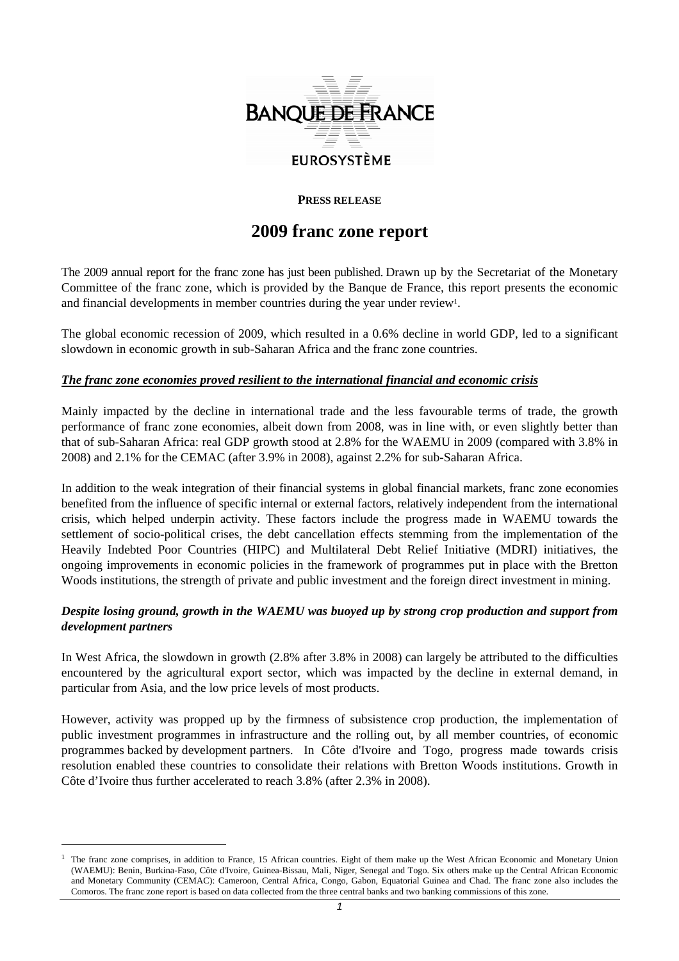

## **PRESS RELEASE**

# **2009 franc zone report**

The 2009 annual report for the franc zone has just been published. Drawn up by the Secretariat of the Monetary Committee of the franc zone, which is provided by the Banque de France, this report presents the economic and financial developments in member countries during the year under review<sup>1</sup>.

The global economic recession of 2009, which resulted in a 0.6% decline in world GDP, led to a significant slowdown in economic growth in sub-Saharan Africa and the franc zone countries.

#### *The franc zone economies proved resilient to the international financial and economic crisis*

Mainly impacted by the decline in international trade and the less favourable terms of trade, the growth performance of franc zone economies, albeit down from 2008, was in line with, or even slightly better than that of sub-Saharan Africa: real GDP growth stood at 2.8% for the WAEMU in 2009 (compared with 3.8% in 2008) and 2.1% for the CEMAC (after 3.9% in 2008), against 2.2% for sub-Saharan Africa.

In addition to the weak integration of their financial systems in global financial markets, franc zone economies benefited from the influence of specific internal or external factors, relatively independent from the international crisis, which helped underpin activity. These factors include the progress made in WAEMU towards the settlement of socio-political crises, the debt cancellation effects stemming from the implementation of the Heavily Indebted Poor Countries (HIPC) and Multilateral Debt Relief Initiative (MDRI) initiatives, the ongoing improvements in economic policies in the framework of programmes put in place with the Bretton Woods institutions, the strength of private and public investment and the foreign direct investment in mining.

## *Despite losing ground, growth in the WAEMU was buoyed up by strong crop production and support from development partners*

In West Africa, the slowdown in growth (2.8% after 3.8% in 2008) can largely be attributed to the difficulties encountered by the agricultural export sector, which was impacted by the decline in external demand, in particular from Asia, and the low price levels of most products.

However, activity was propped up by the firmness of subsistence crop production, the implementation of public investment programmes in infrastructure and the rolling out, by all member countries, of economic programmes backed by development partners. In Côte d'Ivoire and Togo, progress made towards crisis resolution enabled these countries to consolidate their relations with Bretton Woods institutions. Growth in Côte d'Ivoire thus further accelerated to reach 3.8% (after 2.3% in 2008).

 $\overline{a}$ 

<sup>1</sup> The franc zone comprises, in addition to France, 15 African countries. Eight of them make up the West African Economic and Monetary Union (WAEMU): Benin, Burkina-Faso, Côte d'Ivoire, Guinea-Bissau, Mali, Niger, Senegal and Togo. Six others make up the Central African Economic and Monetary Community (CEMAC): Cameroon, Central Africa, Congo, Gabon, Equatorial Guinea and Chad. The franc zone also includes the Comoros. The franc zone report is based on data collected from the three central banks and two banking commissions of this zone.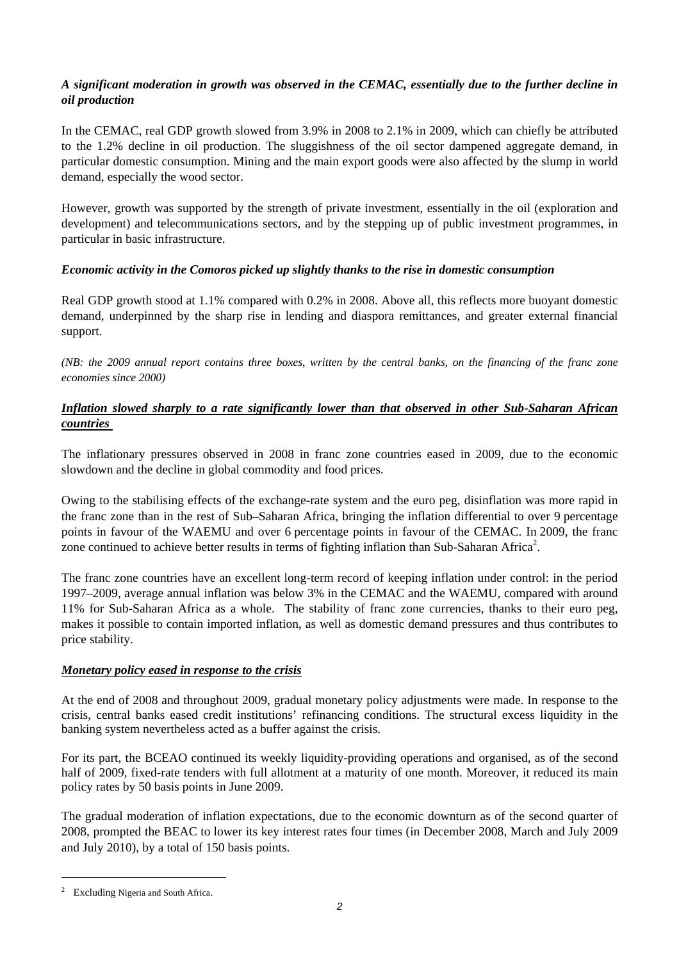## *A significant moderation in growth was observed in the CEMAC, essentially due to the further decline in oil production*

In the CEMAC, real GDP growth slowed from 3.9% in 2008 to 2.1% in 2009, which can chiefly be attributed to the 1.2% decline in oil production. The sluggishness of the oil sector dampened aggregate demand, in particular domestic consumption. Mining and the main export goods were also affected by the slump in world demand, especially the wood sector.

However, growth was supported by the strength of private investment, essentially in the oil (exploration and development) and telecommunications sectors, and by the stepping up of public investment programmes, in particular in basic infrastructure.

#### *Economic activity in the Comoros picked up slightly thanks to the rise in domestic consumption*

Real GDP growth stood at 1.1% compared with 0.2% in 2008. Above all, this reflects more buoyant domestic demand, underpinned by the sharp rise in lending and diaspora remittances, and greater external financial support.

*(NB: the 2009 annual report contains three boxes, written by the central banks, on the financing of the franc zone economies since 2000)* 

## *Inflation slowed sharply to a rate significantly lower than that observed in other Sub-Saharan African countries*

The inflationary pressures observed in 2008 in franc zone countries eased in 2009, due to the economic slowdown and the decline in global commodity and food prices.

Owing to the stabilising effects of the exchange-rate system and the euro peg, disinflation was more rapid in the franc zone than in the rest of Sub–Saharan Africa, bringing the inflation differential to over 9 percentage points in favour of the WAEMU and over 6 percentage points in favour of the CEMAC. In 2009, the franc zone continued to achieve better results in terms of fighting inflation than Sub-Saharan Africa<sup>2</sup>.

The franc zone countries have an excellent long-term record of keeping inflation under control: in the period 1997–2009, average annual inflation was below 3% in the CEMAC and the WAEMU, compared with around 11% for Sub-Saharan Africa as a whole. The stability of franc zone currencies, thanks to their euro peg, makes it possible to contain imported inflation, as well as domestic demand pressures and thus contributes to price stability.

#### *Monetary policy eased in response to the crisis*

At the end of 2008 and throughout 2009, gradual monetary policy adjustments were made. In response to the crisis, central banks eased credit institutions' refinancing conditions. The structural excess liquidity in the banking system nevertheless acted as a buffer against the crisis.

For its part, the BCEAO continued its weekly liquidity-providing operations and organised, as of the second half of 2009, fixed-rate tenders with full allotment at a maturity of one month. Moreover, it reduced its main policy rates by 50 basis points in June 2009.

The gradual moderation of inflation expectations, due to the economic downturn as of the second quarter of 2008, prompted the BEAC to lower its key interest rates four times (in December 2008, March and July 2009 and July 2010), by a total of 150 basis points.

 $\overline{a}$ 

<sup>2</sup> Excluding Nigeria and South Africa.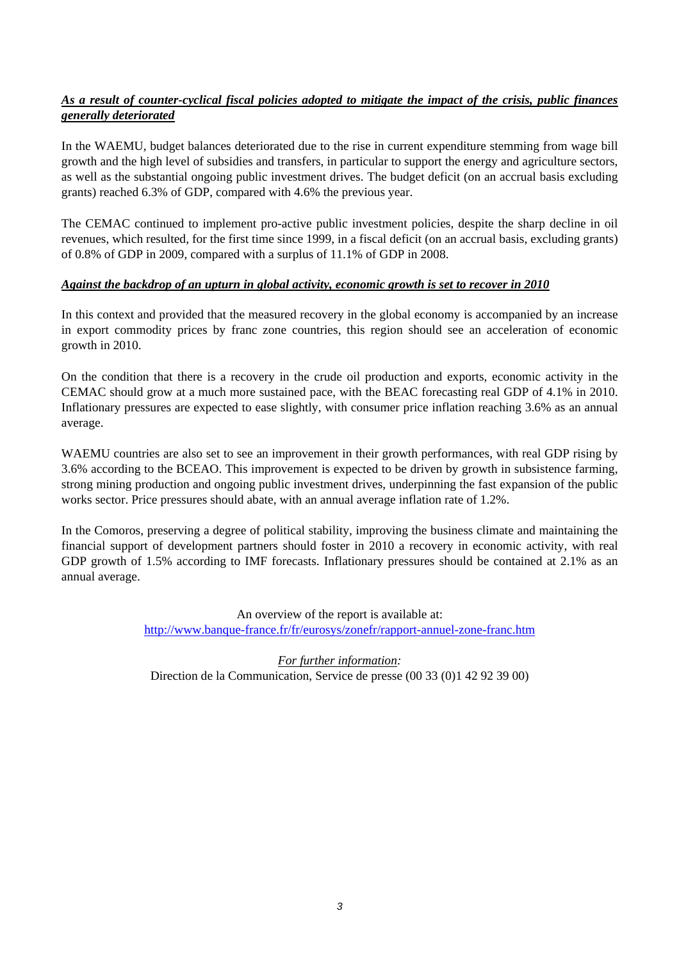## *As a result of counter-cyclical fiscal policies adopted to mitigate the impact of the crisis, public finances generally deteriorated*

In the WAEMU, budget balances deteriorated due to the rise in current expenditure stemming from wage bill growth and the high level of subsidies and transfers, in particular to support the energy and agriculture sectors, as well as the substantial ongoing public investment drives. The budget deficit (on an accrual basis excluding grants) reached 6.3% of GDP, compared with 4.6% the previous year.

The CEMAC continued to implement pro-active public investment policies, despite the sharp decline in oil revenues, which resulted, for the first time since 1999, in a fiscal deficit (on an accrual basis, excluding grants) of 0.8% of GDP in 2009, compared with a surplus of 11.1% of GDP in 2008.

#### *Against the backdrop of an upturn in global activity, economic growth is set to recover in 2010*

In this context and provided that the measured recovery in the global economy is accompanied by an increase in export commodity prices by franc zone countries, this region should see an acceleration of economic growth in 2010.

On the condition that there is a recovery in the crude oil production and exports, economic activity in the CEMAC should grow at a much more sustained pace, with the BEAC forecasting real GDP of 4.1% in 2010. Inflationary pressures are expected to ease slightly, with consumer price inflation reaching 3.6% as an annual average.

WAEMU countries are also set to see an improvement in their growth performances, with real GDP rising by 3.6% according to the BCEAO. This improvement is expected to be driven by growth in subsistence farming, strong mining production and ongoing public investment drives, underpinning the fast expansion of the public works sector. Price pressures should abate, with an annual average inflation rate of 1.2%.

In the Comoros, preserving a degree of political stability, improving the business climate and maintaining the financial support of development partners should foster in 2010 a recovery in economic activity, with real GDP growth of 1.5% according to IMF forecasts. Inflationary pressures should be contained at 2.1% as an annual average.

> An overview of the report is available at: http://www.banque-france.fr/fr/eurosys/zonefr/rapport-annuel-zone-franc.htm

*For further information:*  Direction de la Communication, Service de presse (00 33 (0)1 42 92 39 00)